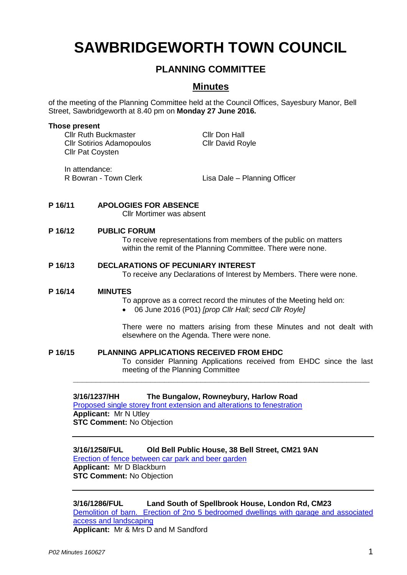# **SAWBRIDGEWORTH TOWN COUNCIL**

# **PLANNING COMMITTEE**

# **Minutes**

of the meeting of the Planning Committee held at the Council Offices, Sayesbury Manor, Bell Street, Sawbridgeworth at 8.40 pm on **Monday 27 June 2016.**

#### **Those present**

In attendance:

Cllr Ruth Buckmaster Cllr Don Hall Cllr Sotirios Adamopoulos Cllr David Royle Cllr Pat Coysten

R Bowran - Town Clerk Lisa Dale – Planning Officer

## **P 16/11 APOLOGIES FOR ABSENCE**

Cllr Mortimer was absent

## **P 16/12 PUBLIC FORUM**

To receive representations from members of the public on matters within the remit of the Planning Committee. There were none.

# **P 16/13 DECLARATIONS OF PECUNIARY INTEREST**

To receive any Declarations of Interest by Members. There were none.

#### **P 16/14 MINUTES**

To approve as a correct record the minutes of the Meeting held on:

06 June 2016 (P01) *[prop Cllr Hall; secd Cllr Royle]*

There were no matters arising from these Minutes and not dealt with elsewhere on the Agenda. There were none.

#### **P 16/15 PLANNING APPLICATIONS RECEIVED FROM EHDC** To consider Planning Applications received from EHDC since the last meeting of the Planning Committee **\_\_\_\_\_\_\_\_\_\_\_\_\_\_\_\_\_\_\_\_\_\_\_\_\_\_\_\_\_\_\_\_\_\_\_\_\_\_\_\_\_\_\_\_\_\_\_\_\_\_\_\_\_\_\_\_\_\_\_\_\_\_\_\_\_**

## **3/16/1237/HH The Bungalow, Rowneybury, Harlow Road**

[Proposed single storey front extension and alterations to fenestration](https://publicaccess.eastherts.gov.uk/online-applications/applicationDetails.do?activeTab=summary&keyVal=O7TQ6NGLK1900) **Applicant:** Mr N Utley **STC Comment:** No Objection

# **3/16/1258/FUL Old Bell Public House, 38 Bell Street, CM21 9AN**

[Erection of fence between car park and beer garden](https://publicaccess.eastherts.gov.uk/online-applications/applicationDetails.do?activeTab=summary&keyVal=O81AEEGL00X00) **Applicant:** Mr D Blackburn **STC Comment:** No Objection

**3/16/1286/FUL Land South of Spellbrook House, London Rd, CM23**  [Demolition of barn. Erection of 2no 5 bedroomed](https://publicaccess.eastherts.gov.uk/online-applications/applicationDetails.do?activeTab=summary&keyVal=O855DSGLK4R00) dwellings with garage and associated [access and landscaping](https://publicaccess.eastherts.gov.uk/online-applications/applicationDetails.do?activeTab=summary&keyVal=O855DSGLK4R00) **Applicant:** Mr & Mrs D and M Sandford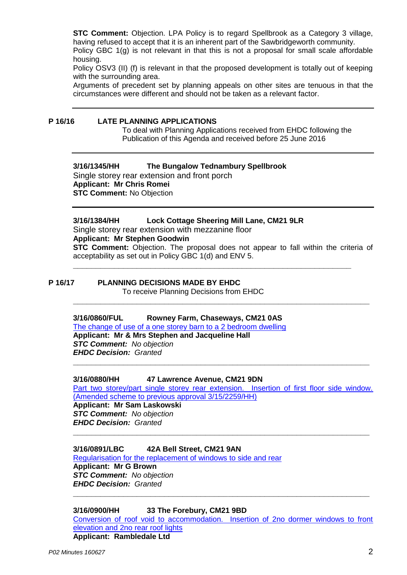**STC Comment:** Objection. LPA Policy is to regard Spellbrook as a Category 3 village, having refused to accept that it is an inherent part of the Sawbridgeworth community.

Policy GBC 1(g) is not relevant in that this is not a proposal for small scale affordable housing.

Policy OSV3 (II) (f) is relevant in that the proposed development is totally out of keeping with the surrounding area.

Arguments of precedent set by planning appeals on other sites are tenuous in that the circumstances were different and should not be taken as a relevant factor.

#### **P 16/16 LATE PLANNING APPLICATIONS**

To deal with Planning Applications received from EHDC following the Publication of this Agenda and received before 25 June 2016

**3/16/1345/HH The Bungalow Tednambury Spellbrook** Single storey rear extension and front porch **Applicant: Mr Chris Romei STC Comment:** No Objection

**3/16/1384/HH Lock Cottage Sheering Mill Lane, CM21 9LR** Single storey rear extension with mezzanine floor **Applicant: Mr Stephen Goodwin STC Comment:** Objection. The proposal does not appear to fall within the criteria of acceptability as set out in Policy GBC 1(d) and ENV 5.

**\_\_\_\_\_\_\_\_\_\_\_\_\_\_\_\_\_\_\_\_\_\_\_\_\_\_\_\_\_\_\_\_\_\_\_\_\_\_\_\_\_\_\_\_\_\_\_\_\_\_\_\_\_\_\_\_\_\_\_\_\_\_\_\_\_**

**\_\_\_\_\_\_\_\_\_\_\_\_\_\_\_\_\_\_\_\_\_\_\_\_\_\_\_\_\_\_\_\_\_\_\_\_\_\_\_\_\_\_\_\_\_\_\_\_\_\_\_\_\_\_\_\_\_\_\_\_\_**

**P 16/17 PLANNING DECISIONS MADE BY EHDC** To receive Planning Decisions from EHDC

## **3/16/0860/FUL Rowney Farm, Chaseways, CM21 0AS**

[The change of use of a one storey barn to a 2 bedroom dwelling](https://publicaccess.eastherts.gov.uk/online-applications/applicationDetails.do?activeTab=summary&keyVal=O5GJLMGLJFR00) **Applicant: Mr & Mrs Stephen and Jacqueline Hall** *STC Comment: No objection EHDC Decision: Granted*

**3/16/0880/HH 47 Lawrence Avenue, CM21 9DN** Part two storey/part single storey rear extension. Insertion of first floor side window.

**\_\_\_\_\_\_\_\_\_\_\_\_\_\_\_\_\_\_\_\_\_\_\_\_\_\_\_\_\_\_\_\_\_\_\_\_\_\_\_\_\_\_\_\_\_\_\_\_\_\_\_\_\_\_\_\_\_\_\_\_\_\_\_\_\_**

**\_\_\_\_\_\_\_\_\_\_\_\_\_\_\_\_\_\_\_\_\_\_\_\_\_\_\_\_\_\_\_\_\_\_\_\_\_\_\_\_\_\_\_\_\_\_\_\_\_\_\_\_\_\_\_\_\_\_\_\_\_\_\_\_\_**

[\(Amended scheme to previous approval 3/15/2259/HH\)](https://publicaccess.eastherts.gov.uk/online-applications/applicationDetails.do?activeTab=summary&keyVal=O5J0HAGLJGC00)

**Applicant: Mr Sam Laskowski** *STC Comment: No objection EHDC Decision: Granted*

## **3/16/0891/LBC 42A Bell Street, CM21 9AN**

[Regularisation for the replacement of windows to side and rear](https://publicaccess.eastherts.gov.uk/online-applications/applicationDetails.do?activeTab=summary&keyVal=O5KDWNGL00X00) **Applicant: Mr G Brown** *STC Comment: No objection EHDC Decision: Granted*

**3/16/0900/HH 33 The Forebury, CM21 9BD**

[Conversion of roof void to accommodation. Insertion of 2no dormer windows to front](https://publicaccess.eastherts.gov.uk/online-applications/applicationDetails.do?activeTab=documents&keyVal=O5M9DDGL00X00)  [elevation and 2no rear roof lights](https://publicaccess.eastherts.gov.uk/online-applications/applicationDetails.do?activeTab=documents&keyVal=O5M9DDGL00X00) **Applicant: Rambledale Ltd**

**\_\_\_\_\_\_\_\_\_\_\_\_\_\_\_\_\_\_\_\_\_\_\_\_\_\_\_\_\_\_\_\_\_\_\_\_\_\_\_\_\_\_\_\_\_\_\_\_\_\_\_\_\_\_\_\_\_\_\_\_\_\_\_\_\_**